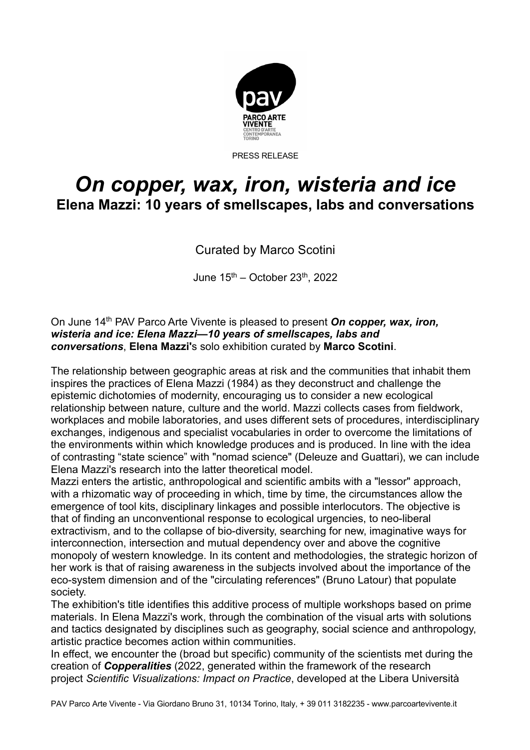

PRESS RELEASE

## *On copper, wax, iron, wisteria and ice* **Elena Mazzi: 10 years of smellscapes, labs and conversations**

Curated by Marco Scotini

June  $15<sup>th</sup>$  – October 23<sup>th</sup>, 2022

On June 14th PAV Parco Arte Vivente is pleased to present *On copper, wax, iron, wisteria and ice: Elena Mazzi—10 years of smellscapes, labs and conversations*, **Elena Mazzi'**s solo exhibition curated by **Marco Scotini**.

The relationship between geographic areas at risk and the communities that inhabit them inspires the practices of Elena Mazzi (1984) as they deconstruct and challenge the epistemic dichotomies of modernity, encouraging us to consider a new ecological relationship between nature, culture and the world. Mazzi collects cases from fieldwork, workplaces and mobile laboratories, and uses different sets of procedures, interdisciplinary exchanges, indigenous and specialist vocabularies in order to overcome the limitations of the environments within which knowledge produces and is produced. In line with the idea of contrasting "state science" with "nomad science" (Deleuze and Guattari), we can include Elena Mazzi's research into the latter theoretical model.

Mazzi enters the artistic, anthropological and scientific ambits with a "lessor" approach, with a rhizomatic way of proceeding in which, time by time, the circumstances allow the emergence of tool kits, disciplinary linkages and possible interlocutors. The objective is that of finding an unconventional response to ecological urgencies, to neo-liberal extractivism, and to the collapse of bio-diversity, searching for new, imaginative ways for interconnection, intersection and mutual dependency over and above the cognitive monopoly of western knowledge. In its content and methodologies, the strategic horizon of her work is that of raising awareness in the subjects involved about the importance of the eco-system dimension and of the "circulating references" (Bruno Latour) that populate society.

The exhibition's title identifies this additive process of multiple workshops based on prime materials. In Elena Mazzi's work, through the combination of the visual arts with solutions and tactics designated by disciplines such as geography, social science and anthropology, artistic practice becomes action within communities.

In effect, we encounter the (broad but specific) community of the scientists met during the creation of *Copperalities* (2022, generated within the framework of the research project *Scientific Visualizations: Impact on Practice*, developed at the Libera Università